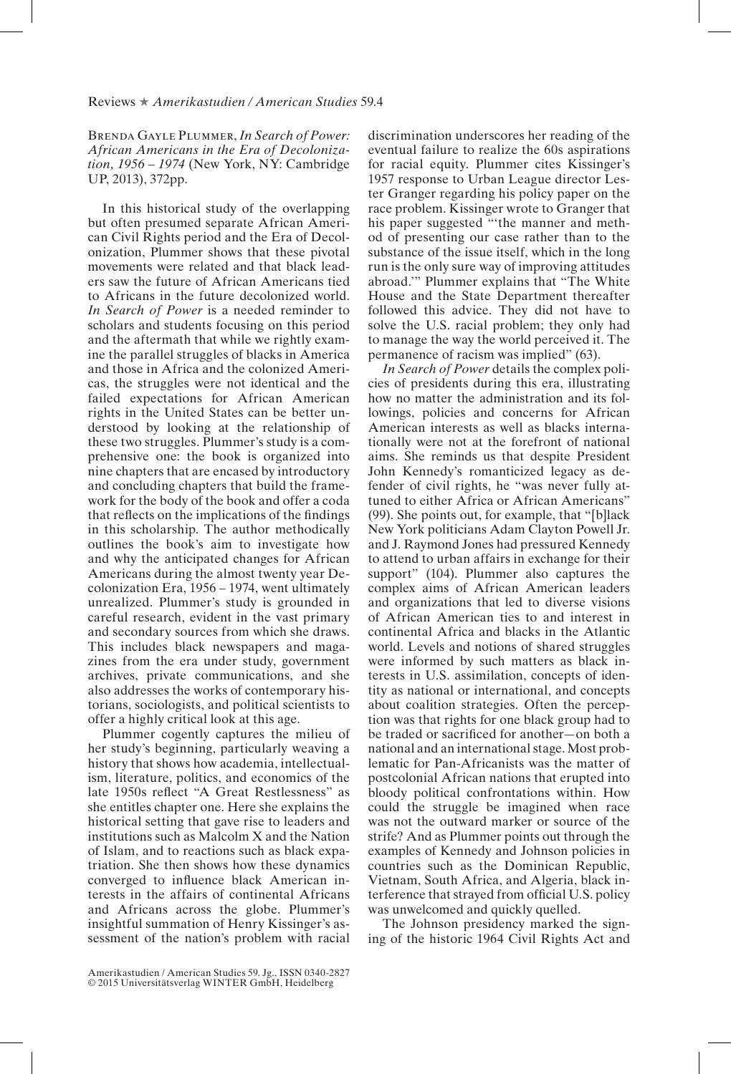## Reviews ★ *Amerikastudien / American Studies* 59.4

Brenda Gayle Plummer, *In Search of Power: African Americans in the Era of Decolonization, 1956 – 1974* (New York, NY: Cambridge UP, 2013), 372pp.

In this historical study of the overlapping but often presumed separate African American Civil Rights period and the Era of Decolonization, Plummer shows that these pivotal movements were related and that black leaders saw the future of African Americans tied to Africans in the future decolonized world. *In Search of Power* is a needed reminder to scholars and students focusing on this period and the aftermath that while we rightly examine the parallel struggles of blacks in America and those in Africa and the colonized Americas, the struggles were not identical and the failed expectations for African American rights in the United States can be better understood by looking at the relationship of these two struggles. Plummer's study is a comprehensive one: the book is organized into nine chapters that are encased by introductory and concluding chapters that build the framework for the body of the book and offer a coda that reflects on the implications of the findings in this scholarship. The author methodically outlines the book's aim to investigate how and why the anticipated changes for African Americans during the almost twenty year Decolonization Era, 1956 – 1974, went ultimately unrealized. Plummer's study is grounded in careful research, evident in the vast primary and secondary sources from which she draws. This includes black newspapers and magazines from the era under study, government archives, private communications, and she also addresses the works of contemporary historians, sociologists, and political scientists to offer a highly critical look at this age.

Plummer cogently captures the milieu of her study's beginning, particularly weaving a history that shows how academia, intellectualism, literature, politics, and economics of the late 1950s reflect "A Great Restlessness" as she entitles chapter one. Here she explains the historical setting that gave rise to leaders and institutions such as Malcolm X and the Nation of Islam, and to reactions such as black expatriation. She then shows how these dynamics converged to influence black American interests in the affairs of continental Africans and Africans across the globe. Plummer's insightful summation of Henry Kissinger's assessment of the nation's problem with racial

discrimination underscores her reading of the eventual failure to realize the 60s aspirations for racial equity. Plummer cites Kissinger's 1957 response to Urban League director Lester Granger regarding his policy paper on the race problem. Kissinger wrote to Granger that his paper suggested "'the manner and method of presenting our case rather than to the substance of the issue itself, which in the long run is the only sure way of improving attitudes abroad.'" Plummer explains that "The White House and the State Department thereafter followed this advice. They did not have to solve the U.S. racial problem; they only had to manage the way the world perceived it. The permanence of racism was implied" (63).

*In Search of Power* details the complex policies of presidents during this era, illustrating how no matter the administration and its followings, policies and concerns for African American interests as well as blacks internationally were not at the forefront of national aims. She reminds us that despite President John Kennedy's romanticized legacy as defender of civil rights, he "was never fully attuned to either Africa or African Americans" (99). She points out, for example, that "[b]lack New York politicians Adam Clayton Powell Jr. and J. Raymond Jones had pressured Kennedy to attend to urban affairs in exchange for their support" (104). Plummer also captures the complex aims of African American leaders and organizations that led to diverse visions of African American ties to and interest in continental Africa and blacks in the Atlantic world. Levels and notions of shared struggles were informed by such matters as black interests in U.S. assimilation, concepts of identity as national or international, and concepts about coalition strategies. Often the perception was that rights for one black group had to be traded or sacrificed for another—on both a national and an international stage. Most problematic for Pan-Africanists was the matter of postcolonial African nations that erupted into bloody political confrontations within. How could the struggle be imagined when race was not the outward marker or source of the strife? And as Plummer points out through the examples of Kennedy and Johnson policies in countries such as the Dominican Republic, Vietnam, South Africa, and Algeria, black interference that strayed from official U.S. policy was unwelcomed and quickly quelled.

The Johnson presidency marked the signing of the historic 1964 Civil Rights Act and

Amerikastudien / American Studies 59. Jg., ISSN 0340-2827 © 2015 Universitätsverlag WINTER GmbH, Heidelberg